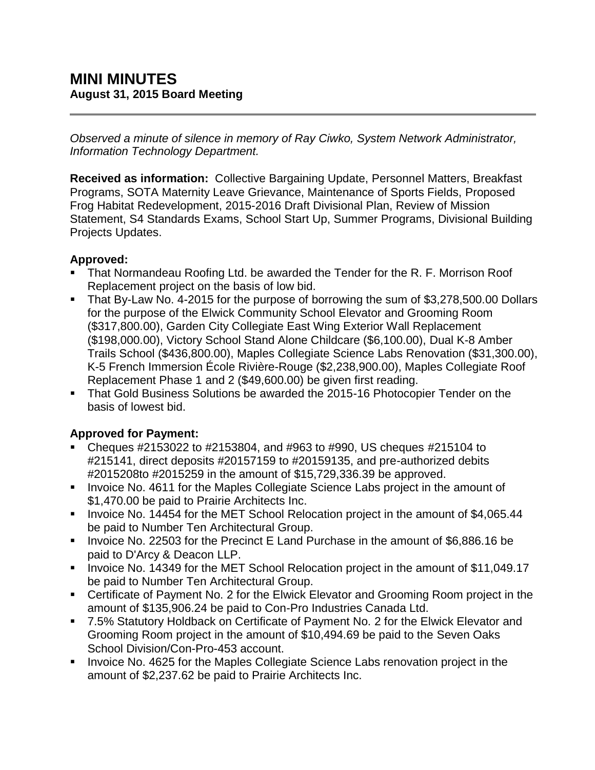*Observed a minute of silence in memory of Ray Ciwko, System Network Administrator, Information Technology Department.*

**Received as information:** Collective Bargaining Update, Personnel Matters, Breakfast Programs, SOTA Maternity Leave Grievance, Maintenance of Sports Fields, Proposed Frog Habitat Redevelopment, 2015-2016 Draft Divisional Plan, Review of Mission Statement, S4 Standards Exams, School Start Up, Summer Programs, Divisional Building Projects Updates.

# **Approved:**

- That Normandeau Roofing Ltd. be awarded the Tender for the R. F. Morrison Roof Replacement project on the basis of low bid.
- That By-Law No. 4-2015 for the purpose of borrowing the sum of \$3,278,500.00 Dollars for the purpose of the Elwick Community School Elevator and Grooming Room (\$317,800.00), Garden City Collegiate East Wing Exterior Wall Replacement (\$198,000.00), Victory School Stand Alone Childcare (\$6,100.00), Dual K-8 Amber Trails School (\$436,800.00), Maples Collegiate Science Labs Renovation (\$31,300.00), K-5 French Immersion École Rivière-Rouge (\$2,238,900.00), Maples Collegiate Roof Replacement Phase 1 and 2 (\$49,600.00) be given first reading.
- That Gold Business Solutions be awarded the 2015-16 Photocopier Tender on the basis of lowest bid.

# **Approved for Payment:**

- Cheques  $\#2153022$  to  $\#2153804$ , and  $\#963$  to  $\#990$ , US cheques  $\#215104$  to #215141, direct deposits #20157159 to #20159135, and pre-authorized debits #2015208to #2015259 in the amount of \$15,729,336.39 be approved.
- **IDED** Invoice No. 4611 for the Maples Collegiate Science Labs project in the amount of \$1,470.00 be paid to Prairie Architects Inc.
- Invoice No. 14454 for the MET School Relocation project in the amount of \$4,065.44 be paid to Number Ten Architectural Group.
- Invoice No. 22503 for the Precinct E Land Purchase in the amount of \$6,886.16 be paid to D'Arcy & Deacon LLP.
- Invoice No. 14349 for the MET School Relocation project in the amount of \$11,049.17 be paid to Number Ten Architectural Group.
- Certificate of Payment No. 2 for the Elwick Elevator and Grooming Room project in the amount of \$135,906.24 be paid to Con-Pro Industries Canada Ltd.
- 7.5% Statutory Holdback on Certificate of Payment No. 2 for the Elwick Elevator and Grooming Room project in the amount of \$10,494.69 be paid to the Seven Oaks School Division/Con-Pro-453 account.
- **Invoice No. 4625 for the Maples Collegiate Science Labs renovation project in the** amount of \$2,237.62 be paid to Prairie Architects Inc.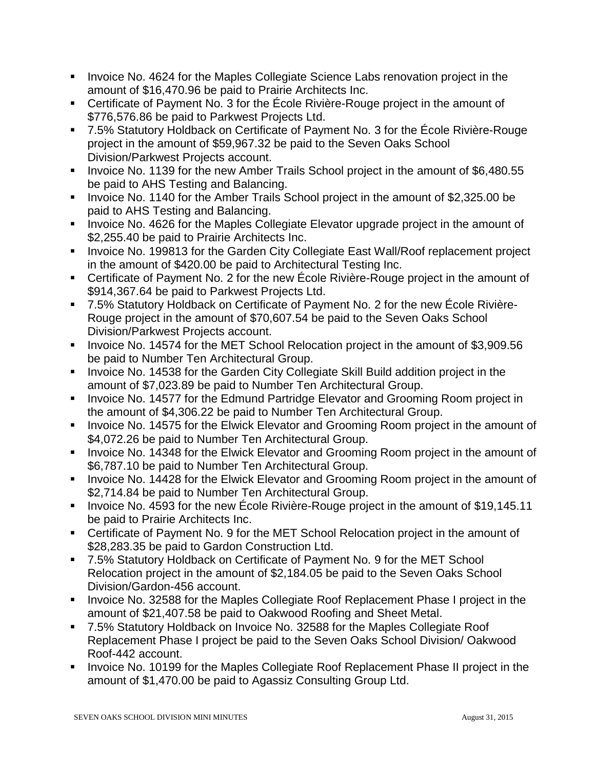- **Invoice No. 4624 for the Maples Collegiate Science Labs renovation project in the** amount of \$16,470.96 be paid to Prairie Architects Inc.
- Certificate of Payment No. 3 for the École Rivière-Rouge project in the amount of \$776,576.86 be paid to Parkwest Projects Ltd.
- 7.5% Statutory Holdback on Certificate of Payment No. 3 for the École Rivière-Rouge project in the amount of \$59,967.32 be paid to the Seven Oaks School Division/Parkwest Projects account.
- Invoice No. 1139 for the new Amber Trails School project in the amount of \$6,480.55 be paid to AHS Testing and Balancing.
- Invoice No. 1140 for the Amber Trails School project in the amount of \$2,325.00 be paid to AHS Testing and Balancing.
- **Invoice No. 4626 for the Maples Collegiate Elevator upgrade project in the amount of** \$2,255.40 be paid to Prairie Architects Inc.
- **Invoice No. 199813 for the Garden City Collegiate East Wall/Roof replacement project** in the amount of \$420.00 be paid to Architectural Testing Inc.
- Certificate of Payment No. 2 for the new École Rivière-Rouge project in the amount of \$914,367.64 be paid to Parkwest Projects Ltd.
- 7.5% Statutory Holdback on Certificate of Payment No. 2 for the new École Rivière-Rouge project in the amount of \$70,607.54 be paid to the Seven Oaks School Division/Parkwest Projects account.
- Invoice No. 14574 for the MET School Relocation project in the amount of \$3,909.56 be paid to Number Ten Architectural Group.
- **Invoice No. 14538 for the Garden City Collegiate Skill Build addition project in the** amount of \$7,023.89 be paid to Number Ten Architectural Group.
- Invoice No. 14577 for the Edmund Partridge Elevator and Grooming Room project in the amount of \$4,306.22 be paid to Number Ten Architectural Group.
- **IDED** Invoice No. 14575 for the Elwick Elevator and Grooming Room project in the amount of \$4,072.26 be paid to Number Ten Architectural Group.
- **Invoice No. 14348 for the Elwick Elevator and Grooming Room project in the amount of** \$6,787.10 be paid to Number Ten Architectural Group.
- **IDED** Invoice No. 14428 for the Elwick Elevator and Grooming Room project in the amount of \$2,714.84 be paid to Number Ten Architectural Group.
- Invoice No. 4593 for the new École Rivière-Rouge project in the amount of \$19,145.11 be paid to Prairie Architects Inc.
- Certificate of Payment No. 9 for the MET School Relocation project in the amount of \$28,283.35 be paid to Gardon Construction Ltd.
- 7.5% Statutory Holdback on Certificate of Payment No. 9 for the MET School Relocation project in the amount of \$2,184.05 be paid to the Seven Oaks School Division/Gardon-456 account.
- **Invoice No. 32588 for the Maples Collegiate Roof Replacement Phase I project in the** amount of \$21,407.58 be paid to Oakwood Roofing and Sheet Metal.
- 7.5% Statutory Holdback on Invoice No. 32588 for the Maples Collegiate Roof Replacement Phase I project be paid to the Seven Oaks School Division/ Oakwood Roof-442 account.
- Invoice No. 10199 for the Maples Collegiate Roof Replacement Phase II project in the amount of \$1,470.00 be paid to Agassiz Consulting Group Ltd.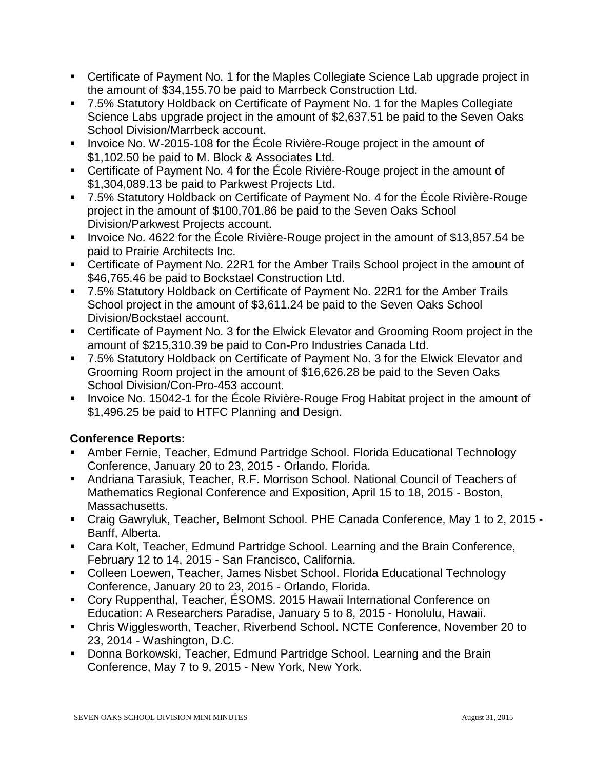- Certificate of Payment No. 1 for the Maples Collegiate Science Lab upgrade project in the amount of \$34,155.70 be paid to Marrbeck Construction Ltd.
- 7.5% Statutory Holdback on Certificate of Payment No. 1 for the Maples Collegiate Science Labs upgrade project in the amount of \$2,637.51 be paid to the Seven Oaks School Division/Marrbeck account.
- **Invoice No. W-2015-108 for the École Rivière-Rouge project in the amount of** \$1,102.50 be paid to M. Block & Associates Ltd.
- Certificate of Payment No. 4 for the École Rivière-Rouge project in the amount of \$1,304,089.13 be paid to Parkwest Projects Ltd.
- 7.5% Statutory Holdback on Certificate of Payment No. 4 for the École Rivière-Rouge project in the amount of \$100,701.86 be paid to the Seven Oaks School Division/Parkwest Projects account.
- Invoice No. 4622 for the Ecole Rivière-Rouge project in the amount of \$13,857.54 be paid to Prairie Architects Inc.
- Certificate of Payment No. 22R1 for the Amber Trails School project in the amount of \$46,765.46 be paid to Bockstael Construction Ltd.
- 7.5% Statutory Holdback on Certificate of Payment No. 22R1 for the Amber Trails School project in the amount of \$3,611.24 be paid to the Seven Oaks School Division/Bockstael account.
- Certificate of Payment No. 3 for the Elwick Elevator and Grooming Room project in the amount of \$215,310.39 be paid to Con-Pro Industries Canada Ltd.
- 7.5% Statutory Holdback on Certificate of Payment No. 3 for the Elwick Elevator and Grooming Room project in the amount of \$16,626.28 be paid to the Seven Oaks School Division/Con-Pro-453 account.
- Invoice No. 15042-1 for the École Rivière-Rouge Frog Habitat project in the amount of \$1,496.25 be paid to HTFC Planning and Design.

# **Conference Reports:**

- Amber Fernie, Teacher, Edmund Partridge School. Florida Educational Technology Conference, January 20 to 23, 2015 - Orlando, Florida.
- Andriana Tarasiuk, Teacher, R.F. Morrison School. National Council of Teachers of Mathematics Regional Conference and Exposition, April 15 to 18, 2015 - Boston, Massachusetts.
- Craig Gawryluk, Teacher, Belmont School. PHE Canada Conference, May 1 to 2, 2015 Banff, Alberta.
- Cara Kolt, Teacher, Edmund Partridge School. Learning and the Brain Conference, February 12 to 14, 2015 - San Francisco, California.
- Colleen Loewen, Teacher, James Nisbet School. Florida Educational Technology Conference, January 20 to 23, 2015 - Orlando, Florida.
- Cory Ruppenthal, Teacher, ÉSOMS. 2015 Hawaii International Conference on Education: A Researchers Paradise, January 5 to 8, 2015 - Honolulu, Hawaii.
- Chris Wigglesworth, Teacher, Riverbend School. NCTE Conference, November 20 to 23, 2014 - Washington, D.C.
- **Donna Borkowski, Teacher, Edmund Partridge School. Learning and the Brain** Conference, May 7 to 9, 2015 - New York, New York.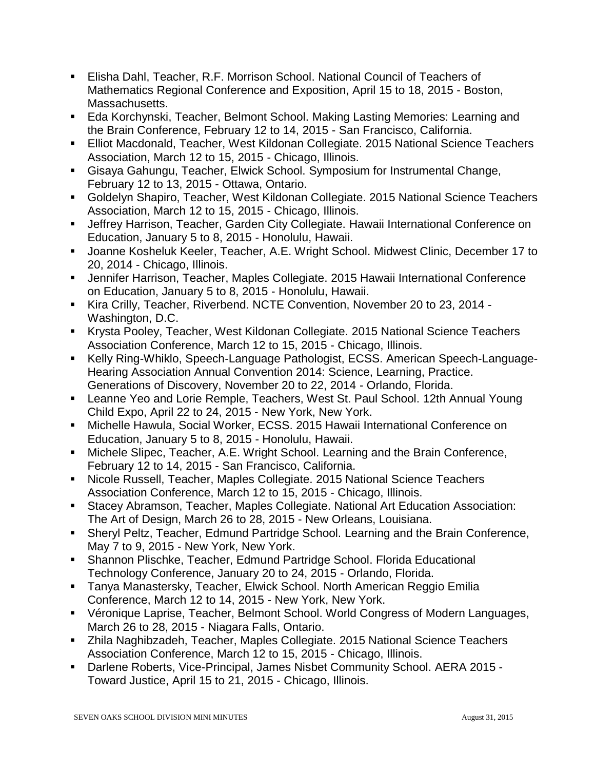- Elisha Dahl, Teacher, R.F. Morrison School. National Council of Teachers of Mathematics Regional Conference and Exposition, April 15 to 18, 2015 - Boston, Massachusetts.
- Eda Korchynski, Teacher, Belmont School. Making Lasting Memories: Learning and the Brain Conference, February 12 to 14, 2015 - San Francisco, California.
- Elliot Macdonald, Teacher, West Kildonan Collegiate. 2015 National Science Teachers Association, March 12 to 15, 2015 - Chicago, Illinois.
- Gisaya Gahungu, Teacher, Elwick School. Symposium for Instrumental Change, February 12 to 13, 2015 - Ottawa, Ontario.
- Goldelyn Shapiro, Teacher, West Kildonan Collegiate. 2015 National Science Teachers Association, March 12 to 15, 2015 - Chicago, Illinois.
- Jeffrey Harrison, Teacher, Garden City Collegiate. Hawaii International Conference on Education, January 5 to 8, 2015 - Honolulu, Hawaii.
- Joanne Kosheluk Keeler, Teacher, A.E. Wright School. Midwest Clinic, December 17 to 20, 2014 - Chicago, Illinois.
- Jennifer Harrison, Teacher, Maples Collegiate. 2015 Hawaii International Conference on Education, January 5 to 8, 2015 - Honolulu, Hawaii.
- Kira Crilly, Teacher, Riverbend. NCTE Convention, November 20 to 23, 2014 Washington, D.C.
- Krysta Pooley, Teacher, West Kildonan Collegiate. 2015 National Science Teachers Association Conference, March 12 to 15, 2015 - Chicago, Illinois.
- Kelly Ring-Whiklo, Speech-Language Pathologist, ECSS. American Speech-Language-Hearing Association Annual Convention 2014: Science, Learning, Practice. Generations of Discovery, November 20 to 22, 2014 - Orlando, Florida.
- Leanne Yeo and Lorie Remple, Teachers, West St. Paul School. 12th Annual Young Child Expo, April 22 to 24, 2015 - New York, New York.
- Michelle Hawula, Social Worker, ECSS. 2015 Hawaii International Conference on Education, January 5 to 8, 2015 - Honolulu, Hawaii.
- Michele Slipec, Teacher, A.E. Wright School. Learning and the Brain Conference, February 12 to 14, 2015 - San Francisco, California.
- Nicole Russell, Teacher, Maples Collegiate. 2015 National Science Teachers Association Conference, March 12 to 15, 2015 - Chicago, Illinois.
- Stacey Abramson, Teacher, Maples Collegiate. National Art Education Association: The Art of Design, March 26 to 28, 2015 - New Orleans, Louisiana.
- Sheryl Peltz, Teacher, Edmund Partridge School. Learning and the Brain Conference, May 7 to 9, 2015 - New York, New York.
- Shannon Plischke, Teacher, Edmund Partridge School. Florida Educational Technology Conference, January 20 to 24, 2015 - Orlando, Florida.
- Tanya Manastersky, Teacher, Elwick School. North American Reggio Emilia Conference, March 12 to 14, 2015 - New York, New York.
- Véronique Laprise, Teacher, Belmont School. World Congress of Modern Languages, March 26 to 28, 2015 - Niagara Falls, Ontario.
- Zhila Naghibzadeh, Teacher, Maples Collegiate. 2015 National Science Teachers Association Conference, March 12 to 15, 2015 - Chicago, Illinois.
- Darlene Roberts, Vice-Principal, James Nisbet Community School. AERA 2015 Toward Justice, April 15 to 21, 2015 - Chicago, Illinois.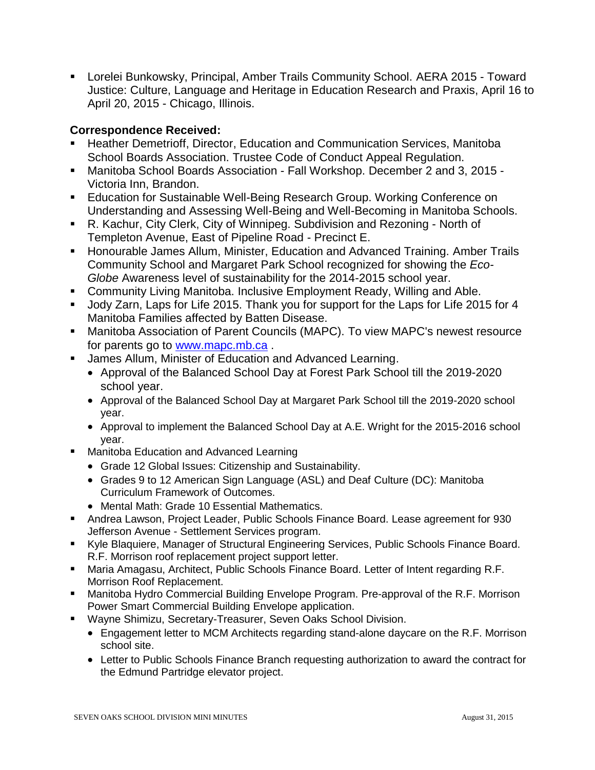Lorelei Bunkowsky, Principal, Amber Trails Community School. AERA 2015 - Toward Justice: Culture, Language and Heritage in Education Research and Praxis, April 16 to April 20, 2015 - Chicago, Illinois.

### **Correspondence Received:**

- Heather Demetrioff, Director, Education and Communication Services, Manitoba School Boards Association. Trustee Code of Conduct Appeal Regulation.
- Manitoba School Boards Association Fall Workshop. December 2 and 3, 2015 Victoria Inn, Brandon.
- **Education for Sustainable Well-Being Research Group. Working Conference on** Understanding and Assessing Well-Being and Well-Becoming in Manitoba Schools.
- R. Kachur, City Clerk, City of Winnipeg. Subdivision and Rezoning North of Templeton Avenue, East of Pipeline Road - Precinct E.
- **Honourable James Allum, Minister, Education and Advanced Training. Amber Trails** Community School and Margaret Park School recognized for showing the *Eco-Globe* Awareness level of sustainability for the 2014-2015 school year.
- **Community Living Manitoba. Inclusive Employment Ready, Willing and Able.**
- **Jody Zarn, Laps for Life 2015. Thank you for support for the Laps for Life 2015 for 4** Manitoba Families affected by Batten Disease.
- Manitoba Association of Parent Councils (MAPC). To view MAPC's newest resource for parents go to [www.mapc.mb.ca](http://www.mapc.mb.ca/) .
- **James Allum, Minister of Education and Advanced Learning.** 
	- Approval of the Balanced School Day at Forest Park School till the 2019-2020 school year.
	- Approval of the Balanced School Day at Margaret Park School till the 2019-2020 school year.
	- Approval to implement the Balanced School Day at A.E. Wright for the 2015-2016 school year.
- Manitoba Education and Advanced Learning
	- Grade 12 Global Issues: Citizenship and Sustainability.
	- Grades 9 to 12 American Sign Language (ASL) and Deaf Culture (DC): Manitoba Curriculum Framework of Outcomes.
	- Mental Math: Grade 10 Essential Mathematics.
- Andrea Lawson, Project Leader, Public Schools Finance Board. Lease agreement for 930 Jefferson Avenue - Settlement Services program.
- Kyle Blaquiere, Manager of Structural Engineering Services, Public Schools Finance Board. R.F. Morrison roof replacement project support letter.
- Maria Amagasu, Architect, Public Schools Finance Board. Letter of Intent regarding R.F. Morrison Roof Replacement.
- Manitoba Hydro Commercial Building Envelope Program. Pre-approval of the R.F. Morrison Power Smart Commercial Building Envelope application.
- Wayne Shimizu, Secretary-Treasurer, Seven Oaks School Division.
	- Engagement letter to MCM Architects regarding stand-alone daycare on the R.F. Morrison school site.
	- Letter to Public Schools Finance Branch requesting authorization to award the contract for the Edmund Partridge elevator project.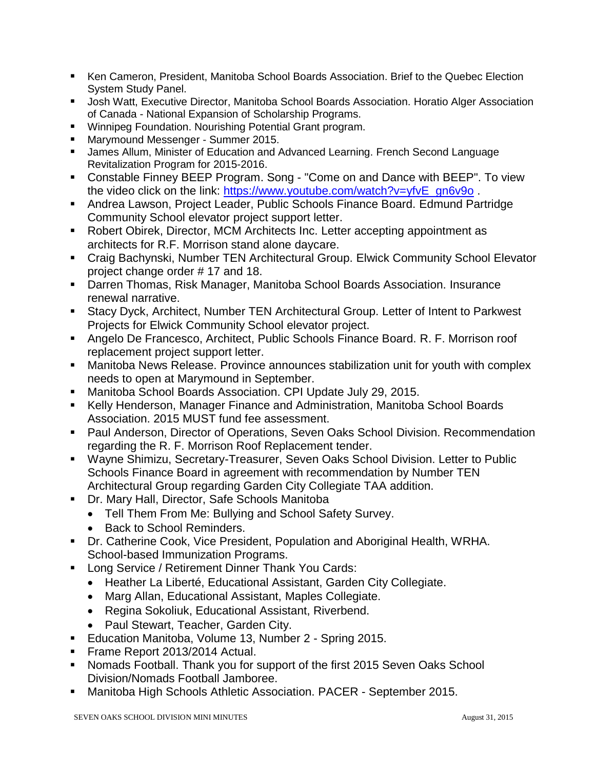- Ken Cameron, President, Manitoba School Boards Association. Brief to the Quebec Election System Study Panel.
- **Josh Watt, Executive Director, Manitoba School Boards Association. Horatio Alger Association** of Canada - National Expansion of Scholarship Programs.
- **Winnipeg Foundation. Nourishing Potential Grant program.**
- Marymound Messenger Summer 2015.
- **James Allum, Minister of Education and Advanced Learning. French Second Language** Revitalization Program for 2015-2016.
- Constable Finney BEEP Program. Song "Come on and Dance with BEEP". To view the video click on the link: [https://www.youtube.com/watch?v=yfvE\\_gn6v9o](https://www.youtube.com/watch?v=yfvE_gn6v9o).
- Andrea Lawson, Project Leader, Public Schools Finance Board. Edmund Partridge Community School elevator project support letter.
- Robert Obirek, Director, MCM Architects Inc. Letter accepting appointment as architects for R.F. Morrison stand alone daycare.
- Craig Bachynski, Number TEN Architectural Group. Elwick Community School Elevator project change order # 17 and 18.
- Darren Thomas, Risk Manager, Manitoba School Boards Association. Insurance renewal narrative.
- Stacy Dyck, Architect, Number TEN Architectural Group. Letter of Intent to Parkwest Projects for Elwick Community School elevator project.
- Angelo De Francesco, Architect, Public Schools Finance Board. R. F. Morrison roof replacement project support letter.
- Manitoba News Release. Province announces stabilization unit for youth with complex needs to open at Marymound in September.
- Manitoba School Boards Association. CPI Update July 29, 2015.
- Kelly Henderson, Manager Finance and Administration, Manitoba School Boards Association. 2015 MUST fund fee assessment.
- Paul Anderson, Director of Operations, Seven Oaks School Division. Recommendation regarding the R. F. Morrison Roof Replacement tender.
- Wayne Shimizu, Secretary-Treasurer, Seven Oaks School Division. Letter to Public Schools Finance Board in agreement with recommendation by Number TEN Architectural Group regarding Garden City Collegiate TAA addition.
- **Dr. Mary Hall, Director, Safe Schools Manitoba** 
	- Tell Them From Me: Bullying and School Safety Survey.
	- Back to School Reminders.
- Dr. Catherine Cook, Vice President, Population and Aboriginal Health, WRHA. School-based Immunization Programs.
- **Long Service / Retirement Dinner Thank You Cards:** 
	- Heather La Liberté, Educational Assistant, Garden City Collegiate.
	- Marg Allan, Educational Assistant, Maples Collegiate.
	- Regina Sokoliuk, Educational Assistant, Riverbend.
	- Paul Stewart, Teacher, Garden City.
- **Education Manitoba, Volume 13, Number 2 Spring 2015.**
- Frame Report 2013/2014 Actual.
- Nomads Football. Thank you for support of the first 2015 Seven Oaks School Division/Nomads Football Jamboree.
- Manitoba High Schools Athletic Association. PACER September 2015.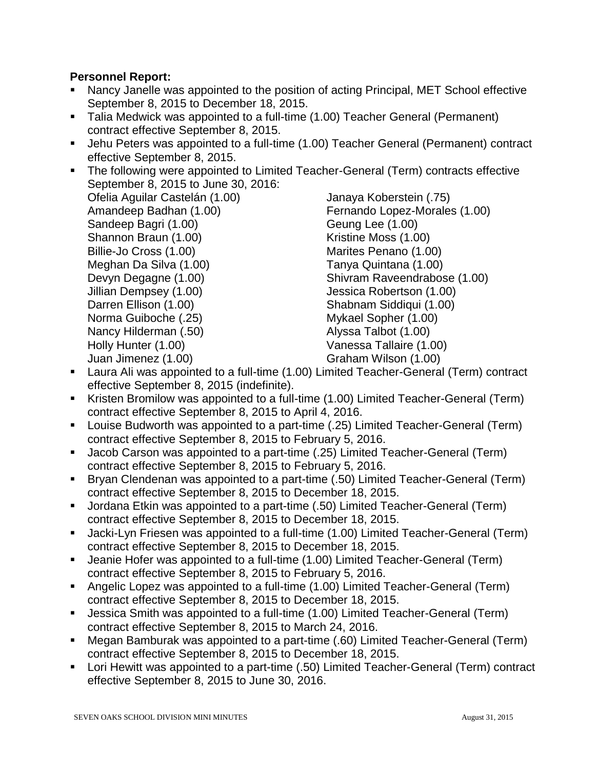### **Personnel Report:**

- Nancy Janelle was appointed to the position of acting Principal, MET School effective September 8, 2015 to December 18, 2015.
- Talia Medwick was appointed to a full-time (1.00) Teacher General (Permanent) contract effective September 8, 2015.
- Jehu Peters was appointed to a full-time (1.00) Teacher General (Permanent) contract effective September 8, 2015.
- **The following were appointed to Limited Teacher-General (Term) contracts effective** September 8, 2015 to June 30, 2016:

Ofelia Aguilar Castelán (1.00) Amandeep Badhan (1.00) Sandeep Bagri (1.00) Shannon Braun (1.00) Billie-Jo Cross (1.00) Meghan Da Silva (1.00) Devyn Degagne (1.00) Jillian Dempsey (1.00) Darren Ellison (1.00) Norma Guiboche (.25) Nancy Hilderman (.50) Holly Hunter (1.00) Juan Jimenez (1.00)

Janaya Koberstein (.75) Fernando Lopez-Morales (1.00) Geung Lee (1.00) Kristine Moss (1.00) Marites Penano (1.00) Tanya Quintana (1.00) Shivram Raveendrabose (1.00) Jessica Robertson (1.00) Shabnam Siddiqui (1.00) Mykael Sopher (1.00) Alyssa Talbot (1.00) Vanessa Tallaire (1.00) Graham Wilson (1.00)

- Laura Ali was appointed to a full-time (1.00) Limited Teacher-General (Term) contract effective September 8, 2015 (indefinite).
- Kristen Bromilow was appointed to a full-time (1.00) Limited Teacher-General (Term) contract effective September 8, 2015 to April 4, 2016.
- Louise Budworth was appointed to a part-time (.25) Limited Teacher-General (Term) contract effective September 8, 2015 to February 5, 2016.
- Jacob Carson was appointed to a part-time (.25) Limited Teacher-General (Term) contract effective September 8, 2015 to February 5, 2016.
- Bryan Clendenan was appointed to a part-time (.50) Limited Teacher-General (Term) contract effective September 8, 2015 to December 18, 2015.
- Jordana Etkin was appointed to a part-time (.50) Limited Teacher-General (Term) contract effective September 8, 2015 to December 18, 2015.
- Jacki-Lyn Friesen was appointed to a full-time (1.00) Limited Teacher-General (Term) contract effective September 8, 2015 to December 18, 2015.
- Jeanie Hofer was appointed to a full-time (1.00) Limited Teacher-General (Term) contract effective September 8, 2015 to February 5, 2016.
- Angelic Lopez was appointed to a full-time (1.00) Limited Teacher-General (Term) contract effective September 8, 2015 to December 18, 2015.
- Jessica Smith was appointed to a full-time (1.00) Limited Teacher-General (Term) contract effective September 8, 2015 to March 24, 2016.
- Megan Bamburak was appointed to a part-time (.60) Limited Teacher-General (Term) contract effective September 8, 2015 to December 18, 2015.
- Lori Hewitt was appointed to a part-time (.50) Limited Teacher-General (Term) contract effective September 8, 2015 to June 30, 2016.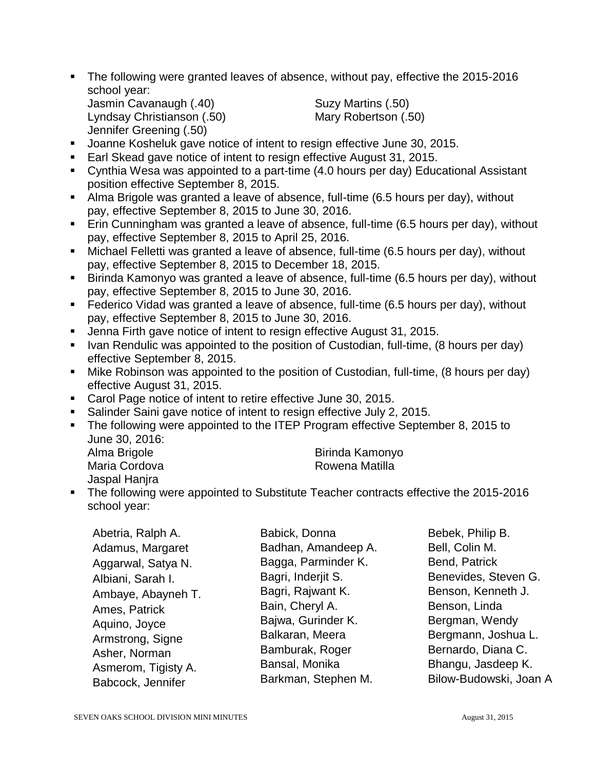The following were granted leaves of absence, without pay, effective the 2015-2016 school year:

```
Jasmin Cavanaugh (.40) Suzy Martins (.50)
Lyndsay Christianson (.50) Mary Robertson (.50)
Jennifer Greening (.50)
```
- Joanne Kosheluk gave notice of intent to resign effective June 30, 2015.
- Earl Skead gave notice of intent to resign effective August 31, 2015.
- Cynthia Wesa was appointed to a part-time (4.0 hours per day) Educational Assistant position effective September 8, 2015.
- Alma Brigole was granted a leave of absence, full-time (6.5 hours per day), without pay, effective September 8, 2015 to June 30, 2016.
- **Erin Cunningham was granted a leave of absence, full-time (6.5 hours per day), without** pay, effective September 8, 2015 to April 25, 2016.
- Michael Felletti was granted a leave of absence, full-time (6.5 hours per day), without pay, effective September 8, 2015 to December 18, 2015.
- Birinda Kamonyo was granted a leave of absence, full-time (6.5 hours per day), without pay, effective September 8, 2015 to June 30, 2016.
- **Federico Vidad was granted a leave of absence, full-time (6.5 hours per day), without** pay, effective September 8, 2015 to June 30, 2016.
- **Jenna Firth gave notice of intent to resign effective August 31, 2015.**
- I Ivan Rendulic was appointed to the position of Custodian, full-time, (8 hours per day) effective September 8, 2015.
- Mike Robinson was appointed to the position of Custodian, full-time, (8 hours per day) effective August 31, 2015.
- Carol Page notice of intent to retire effective June 30, 2015.
- Salinder Saini gave notice of intent to resign effective July 2, 2015.
- The following were appointed to the ITEP Program effective September 8, 2015 to June 30, 2016:

| Alma Brigole  | Birinda Kamonyo |
|---------------|-----------------|
| Maria Cordova | Rowena Matilla  |
|               |                 |

• The following were appointed to Substitute Teacher contracts effective the 2015-2016 school year:

| Abetria, Ralph A.   | Babick, Donna       | Bebek, Philip B.       |
|---------------------|---------------------|------------------------|
| Adamus, Margaret    | Badhan, Amandeep A. | Bell, Colin M.         |
| Aggarwal, Satya N.  | Bagga, Parminder K. | Bend, Patrick          |
| Albiani, Sarah I.   | Bagri, Inderjit S.  | Benevides, Steven G.   |
| Ambaye, Abayneh T.  | Bagri, Rajwant K.   | Benson, Kenneth J.     |
| Ames, Patrick       | Bain, Cheryl A.     | Benson, Linda          |
| Aquino, Joyce       | Bajwa, Gurinder K.  | Bergman, Wendy         |
| Armstrong, Signe    | Balkaran, Meera     | Bergmann, Joshua L.    |
| Asher, Norman       | Bamburak, Roger     | Bernardo, Diana C.     |
| Asmerom, Tigisty A. | Bansal, Monika      | Bhangu, Jasdeep K.     |
| Babcock, Jennifer   | Barkman, Stephen M. | Bilow-Budowski, Joan A |

Jaspal Hanira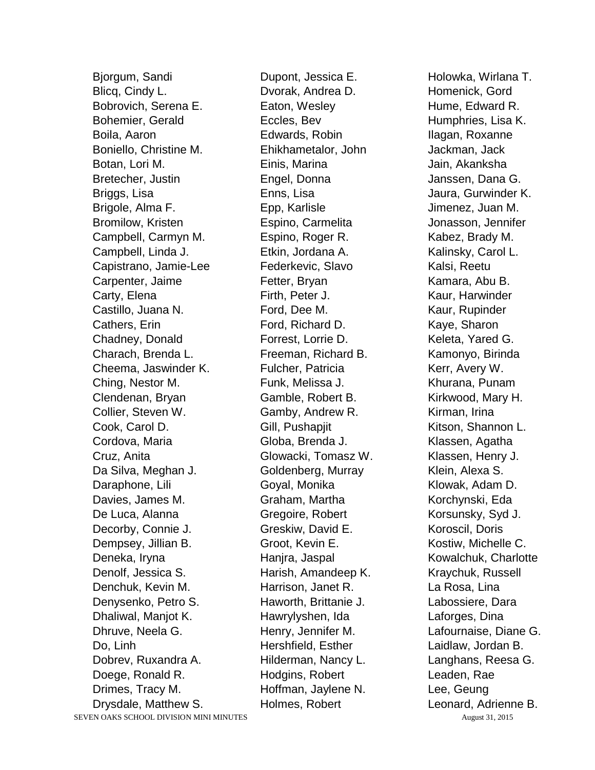SEVEN OAKS SCHOOL DIVISION MINI MINUTES August 31, 2015 Bjorgum, Sandi Blicq, Cindy L. Bobrovich, Serena E. Bohemier, Gerald Boila, Aaron Boniello, Christine M. Botan, Lori M. Bretecher, Justin Briggs, Lisa Brigole, Alma F. Bromilow, Kristen Campbell, Carmyn M. Campbell, Linda J. Capistrano, Jamie-Lee Carpenter, Jaime Carty, Elena Castillo, Juana N. Cathers, Erin Chadney, Donald Charach, Brenda L. Cheema, Jaswinder K. Ching, Nestor M. Clendenan, Bryan Collier, Steven W. Cook, Carol D. Cordova, Maria Cruz, Anita Da Silva, Meghan J. Daraphone, Lili Davies, James M. De Luca, Alanna Decorby, Connie J. Dempsey, Jillian B. Deneka, Iryna Denolf, Jessica S. Denchuk, Kevin M. Denysenko, Petro S. Dhaliwal, Manjot K. Dhruve, Neela G. Do, Linh Dobrev, Ruxandra A. Doege, Ronald R. Drimes, Tracy M. Drysdale, Matthew S.

Dupont, Jessica E. Dvorak, Andrea D. Eaton, Wesley Eccles, Bev Edwards, Robin Ehikhametalor, John Einis, Marina Engel, Donna Enns, Lisa Epp, Karlisle Espino, Carmelita Espino, Roger R. Etkin, Jordana A. Federkevic, Slavo Fetter, Bryan Firth, Peter J. Ford, Dee M. Ford, Richard D. Forrest, Lorrie D. Freeman, Richard B. Fulcher, Patricia Funk, Melissa J. Gamble, Robert B. Gamby, Andrew R. Gill, Pushapjit Globa, Brenda J. Glowacki, Tomasz W. Goldenberg, Murray Goyal, Monika Graham, Martha Gregoire, Robert Greskiw, David E. Groot, Kevin E. Hanjra, Jaspal Harish, Amandeep K. Harrison, Janet R. Haworth, Brittanie J. Hawrylyshen, Ida Henry, Jennifer M. Hershfield, Esther Hilderman, Nancy L. Hodgins, Robert Hoffman, Jaylene N. Holmes, Robert

Holowka, Wirlana T. Homenick, Gord Hume, Edward R. Humphries, Lisa K. Ilagan, Roxanne Jackman, Jack Jain, Akanksha Janssen, Dana G. Jaura, Gurwinder K. Jimenez, Juan M. Jonasson, Jennifer Kabez, Brady M. Kalinsky, Carol L. Kalsi, Reetu Kamara, Abu B. Kaur, Harwinder Kaur, Rupinder Kaye, Sharon Keleta, Yared G. Kamonyo, Birinda Kerr, Avery W. Khurana, Punam Kirkwood, Mary H. Kirman, Irina Kitson, Shannon L. Klassen, Agatha Klassen, Henry J. Klein, Alexa S. Klowak, Adam D. Korchynski, Eda Korsunsky, Syd J. Koroscil, Doris Kostiw, Michelle C. Kowalchuk, Charlotte Kraychuk, Russell La Rosa, Lina Labossiere, Dara Laforges, Dina Lafournaise, Diane G. Laidlaw, Jordan B. Langhans, Reesa G. Leaden, Rae Lee, Geung Leonard, Adrienne B.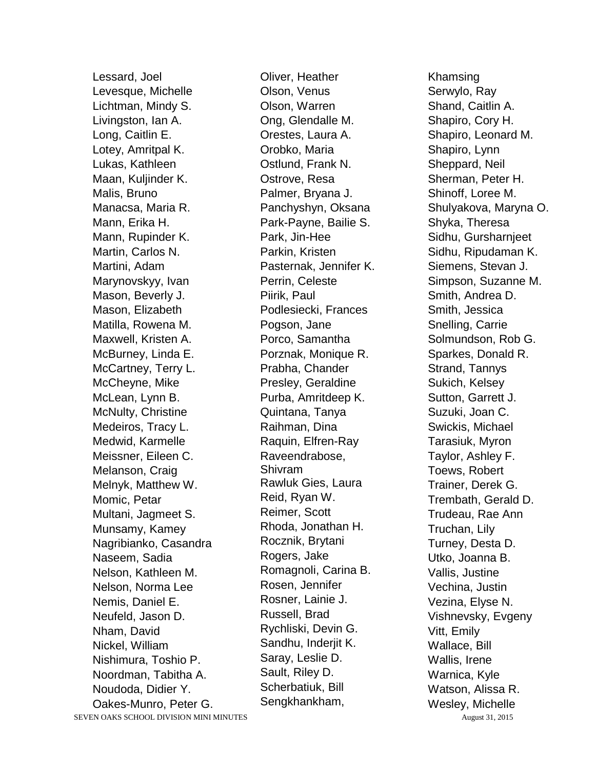Lessard, Joel Levesque, Michelle Lichtman, Mindy S. Livingston, Ian A. Long, Caitlin E. Lotey, Amritpal K. Lukas, Kathleen Maan, Kuljinder K. Malis, Bruno Manacsa, Maria R. Mann, Erika H. Mann, Rupinder K. Martin, Carlos N. Martini, Adam Marynovskyy, Ivan Mason, Beverly J. Mason, Elizabeth Matilla, Rowena M. Maxwell, Kristen A. McBurney, Linda E. McCartney, Terry L. McCheyne, Mike McLean, Lynn B. McNulty, Christine Medeiros, Tracy L. Medwid, Karmelle Meissner, Eileen C. Melanson, Craig Melnyk, Matthew W. Momic, Petar Multani, Jagmeet S. Munsamy, Kamey Nagribianko, Casandra Naseem, Sadia Nelson, Kathleen M. Nelson, Norma Lee Nemis, Daniel E. Neufeld, Jason D. Nham, David Nickel, William Nishimura, Toshio P. Noordman, Tabitha A. Noudoda, Didier Y. Oakes-Munro, Peter G. Oliver, Heather Olson, Venus Olson, Warren Ong, Glendalle M. Orestes, Laura A. Orobko, Maria Ostlund, Frank N. Ostrove, Resa Palmer, Bryana J. Panchyshyn, Oksana Park-Payne, Bailie S. Park, Jin-Hee Parkin, Kristen Pasternak, Jennifer K. Perrin, Celeste Piirik, Paul Podlesiecki, Frances Pogson, Jane Porco, Samantha Porznak, Monique R. Prabha, Chander Presley, Geraldine Purba, Amritdeep K. Quintana, Tanya Raihman, Dina Raquin, Elfren-Ray Raveendrabose, Shivram Rawluk Gies, Laura Reid, Ryan W. Reimer, Scott Rhoda, Jonathan H. Rocznik, Brytani Rogers, Jake Romagnoli, Carina B. Rosen, Jennifer Rosner, Lainie J. Russell, Brad Rychliski, Devin G. Sandhu, Inderjit K. Saray, Leslie D. Sault, Riley D. Scherbatiuk, Bill Sengkhankham,

Khamsing Serwylo, Ray Shand, Caitlin A. Shapiro, Cory H. Shapiro, Leonard M. Shapiro, Lynn Sheppard, Neil Sherman, Peter H. Shinoff, Loree M. Shulyakova, Maryna O. Shyka, Theresa Sidhu, Gursharnjeet Sidhu, Ripudaman K. Siemens, Stevan J. Simpson, Suzanne M. Smith, Andrea D. Smith, Jessica Snelling, Carrie Solmundson, Rob G. Sparkes, Donald R. Strand, Tannys Sukich, Kelsey Sutton, Garrett J. Suzuki, Joan C. Swickis, Michael Tarasiuk, Myron Taylor, Ashley F. Toews, Robert Trainer, Derek G. Trembath, Gerald D. Trudeau, Rae Ann Truchan, Lily Turney, Desta D. Utko, Joanna B. Vallis, Justine Vechina, Justin Vezina, Elyse N. Vishnevsky, Evgeny Vitt, Emily Wallace, Bill Wallis, Irene Warnica, Kyle Watson, Alissa R. Wesley, Michelle

SEVEN OAKS SCHOOL DIVISION MINI MINUTES August 31, 2015